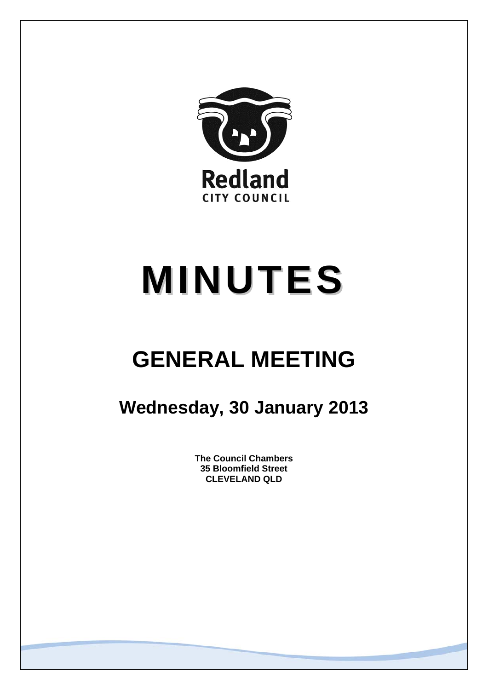

# **MINUTES**

# **GENERAL MEETING**

# **Wednesday, 30 January 2013**

**The Council Chambers 35 Bloomfield Street CLEVELAND QLD**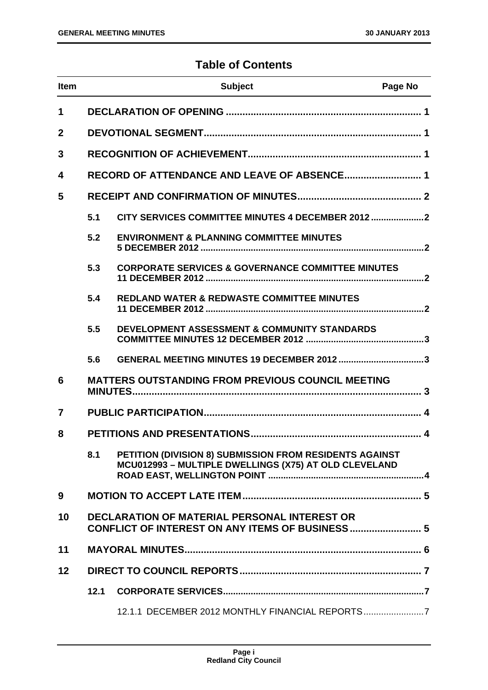# **Table of Contents**

| <b>Item</b> |                                                                                                               | <b>Subject</b>                                                                                                   | Page No |
|-------------|---------------------------------------------------------------------------------------------------------------|------------------------------------------------------------------------------------------------------------------|---------|
| 1           |                                                                                                               |                                                                                                                  |         |
| $\mathbf 2$ |                                                                                                               |                                                                                                                  |         |
| 3           |                                                                                                               |                                                                                                                  |         |
| 4           |                                                                                                               | RECORD OF ATTENDANCE AND LEAVE OF ABSENCE 1                                                                      |         |
| 5           |                                                                                                               |                                                                                                                  |         |
|             | 5.1                                                                                                           | CITY SERVICES COMMITTEE MINUTES 4 DECEMBER 2012                                                                  |         |
|             | 5.2                                                                                                           | <b>ENVIRONMENT &amp; PLANNING COMMITTEE MINUTES</b>                                                              |         |
|             | 5.3                                                                                                           | <b>CORPORATE SERVICES &amp; GOVERNANCE COMMITTEE MINUTES</b>                                                     |         |
|             | 5.4                                                                                                           | <b>REDLAND WATER &amp; REDWASTE COMMITTEE MINUTES</b>                                                            |         |
|             | 5.5                                                                                                           | DEVELOPMENT ASSESSMENT & COMMUNITY STANDARDS                                                                     |         |
|             | 5.6                                                                                                           |                                                                                                                  |         |
| 6           |                                                                                                               | <b>MATTERS OUTSTANDING FROM PREVIOUS COUNCIL MEETING</b>                                                         |         |
| 7           |                                                                                                               |                                                                                                                  |         |
| 8           |                                                                                                               |                                                                                                                  |         |
|             | 8.1                                                                                                           | PETITION (DIVISION 8) SUBMISSION FROM RESIDENTS AGAINST<br>MCU012993 - MULTIPLE DWELLINGS (X75) AT OLD CLEVELAND |         |
| 9           |                                                                                                               |                                                                                                                  |         |
| 10          | <b>DECLARATION OF MATERIAL PERSONAL INTEREST OR</b><br><b>CONFLICT OF INTEREST ON ANY ITEMS OF BUSINESS 5</b> |                                                                                                                  |         |
| 11          |                                                                                                               |                                                                                                                  |         |
| 12          |                                                                                                               |                                                                                                                  |         |
|             | 12.1                                                                                                          |                                                                                                                  |         |
|             |                                                                                                               | 12.1.1 DECEMBER 2012 MONTHLY FINANCIAL REPORTS7                                                                  |         |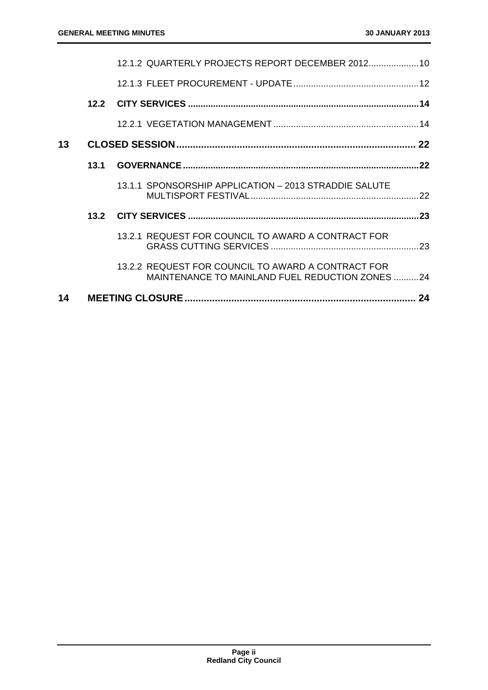| 14 |      |                                                                                                       |  |
|----|------|-------------------------------------------------------------------------------------------------------|--|
|    |      | 13.2.2 REQUEST FOR COUNCIL TO AWARD A CONTRACT FOR<br>MAINTENANCE TO MAINLAND FUEL REDUCTION ZONES 24 |  |
|    |      | 13.2.1 REQUEST FOR COUNCIL TO AWARD A CONTRACT FOR                                                    |  |
|    |      |                                                                                                       |  |
|    |      | 13.1.1 SPONSORSHIP APPLICATION - 2013 STRADDIE SALUTE                                                 |  |
|    | 13.1 |                                                                                                       |  |
| 13 |      |                                                                                                       |  |
|    |      |                                                                                                       |  |
|    |      |                                                                                                       |  |
|    |      |                                                                                                       |  |
|    |      | 12.1.2 QUARTERLY PROJECTS REPORT DECEMBER 2012 10                                                     |  |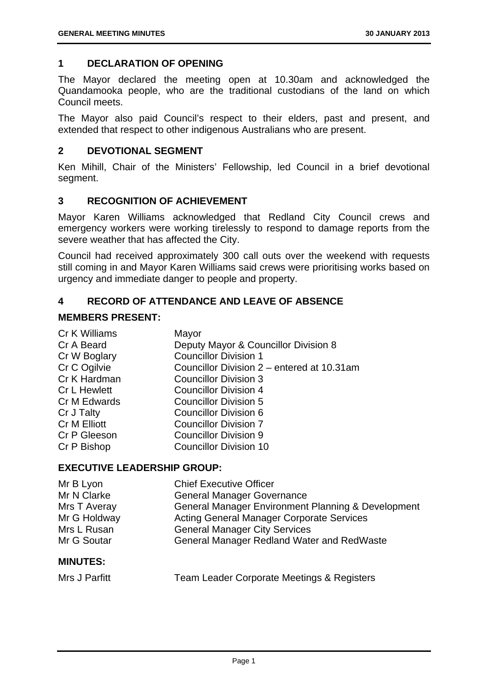# **1 DECLARATION OF OPENING**

The Mayor declared the meeting open at 10.30am and acknowledged the Quandamooka people, who are the traditional custodians of the land on which Council meets.

The Mayor also paid Council's respect to their elders, past and present, and extended that respect to other indigenous Australians who are present.

# **2 DEVOTIONAL SEGMENT**

Ken Mihill, Chair of the Ministers' Fellowship, led Council in a brief devotional segment.

# **3 RECOGNITION OF ACHIEVEMENT**

Mayor Karen Williams acknowledged that Redland City Council crews and emergency workers were working tirelessly to respond to damage reports from the severe weather that has affected the City.

Council had received approximately 300 call outs over the weekend with requests still coming in and Mayor Karen Williams said crews were prioritising works based on urgency and immediate danger to people and property.

# **4 RECORD OF ATTENDANCE AND LEAVE OF ABSENCE**

# **MEMBERS PRESENT:**

| Cr K Williams       | Mayor                                      |
|---------------------|--------------------------------------------|
| Cr A Beard          | Deputy Mayor & Councillor Division 8       |
| Cr W Boglary        | <b>Councillor Division 1</b>               |
| Cr C Ogilvie        | Councillor Division 2 - entered at 10.31am |
| Cr K Hardman        | <b>Councillor Division 3</b>               |
| <b>Cr L Hewlett</b> | <b>Councillor Division 4</b>               |
| Cr M Edwards        | <b>Councillor Division 5</b>               |
| Cr J Talty          | <b>Councillor Division 6</b>               |
| Cr M Elliott        | <b>Councillor Division 7</b>               |
| Cr P Gleeson        | <b>Councillor Division 9</b>               |
| Cr P Bishop         | <b>Councillor Division 10</b>              |
|                     |                                            |

# **EXECUTIVE LEADERSHIP GROUP:**

| Mr B Lyon       | <b>Chief Executive Officer</b>                     |
|-----------------|----------------------------------------------------|
| Mr N Clarke     | <b>General Manager Governance</b>                  |
| Mrs T Averay    | General Manager Environment Planning & Development |
| Mr G Holdway    | <b>Acting General Manager Corporate Services</b>   |
| Mrs L Rusan     | <b>General Manager City Services</b>               |
| Mr G Soutar     | General Manager Redland Water and RedWaste         |
| <b>MINUTES:</b> |                                                    |

| Mrs J Parfitt | Team Leader Corporate Meetings & Registers |  |
|---------------|--------------------------------------------|--|
|---------------|--------------------------------------------|--|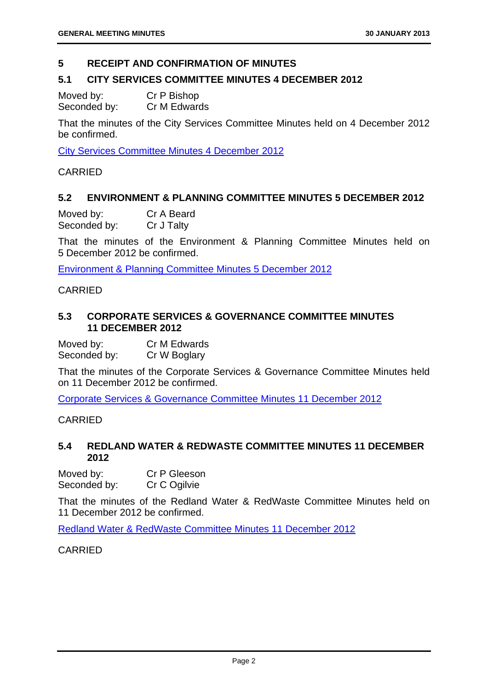# **5 RECEIPT AND CONFIRMATION OF MINUTES**

#### **5.1 CITY SERVICES COMMITTEE MINUTES 4 DECEMBER 2012**

Moved by: Cr P Bishop Seconded by: Cr M Edwards

That the minutes of the City Services Committee Minutes held on 4 December 2012 be confirmed.

City Services Committee Minutes 4 December 2012

CARRIED

# **5.2 ENVIRONMENT & PLANNING COMMITTEE MINUTES 5 DECEMBER 2012**

Moved by: Cr A Beard Seconded by: Cr J Talty

That the minutes of the Environment & Planning Committee Minutes held on 5 December 2012 be confirmed.

Environment & Planning Committee Minutes 5 December 2012

#### CARRIED

# **5.3 CORPORATE SERVICES & GOVERNANCE COMMITTEE MINUTES 11 DECEMBER 2012**

Moved by: Cr M Edwards Seconded by: Cr W Boglary

That the minutes of the Corporate Services & Governance Committee Minutes held on 11 December 2012 be confirmed.

Corporate Services & Governance Committee Minutes 11 December 2012

# CARRIED

# **5.4 REDLAND WATER & REDWASTE COMMITTEE MINUTES 11 DECEMBER 2012**

Moved by: Cr P Gleeson Seconded by: Cr C Ogilvie

That the minutes of the Redland Water & RedWaste Committee Minutes held on 11 December 2012 be confirmed.

Redland Water & RedWaste Committee Minutes 11 December 2012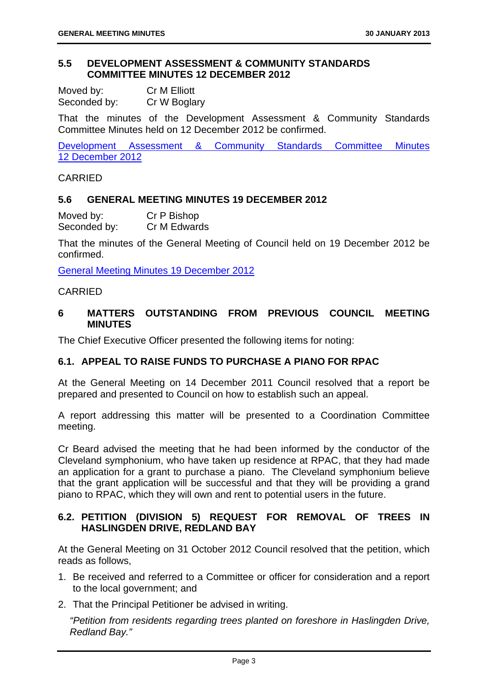# **5.5 DEVELOPMENT ASSESSMENT & COMMUNITY STANDARDS COMMITTEE MINUTES 12 DECEMBER 2012**

| Moved by:    | Cr M Elliott |
|--------------|--------------|
| Seconded by: | Cr W Boglary |

That the minutes of the Development Assessment & Community Standards Committee Minutes held on 12 December 2012 be confirmed.

Development Assessment & Community Standards Committee Minutes 12 December 2012

# CARRIED

# **5.6 GENERAL MEETING MINUTES 19 DECEMBER 2012**

Moved by: Cr P Bishop Seconded by: Cr M Edwards

That the minutes of the General Meeting of Council held on 19 December 2012 be confirmed.

General Meeting Minutes 19 December 2012

# CARRIED

# **6 MATTERS OUTSTANDING FROM PREVIOUS COUNCIL MEETING MINUTES**

The Chief Executive Officer presented the following items for noting:

# **6.1. APPEAL TO RAISE FUNDS TO PURCHASE A PIANO FOR RPAC**

At the General Meeting on 14 December 2011 Council resolved that a report be prepared and presented to Council on how to establish such an appeal.

A report addressing this matter will be presented to a Coordination Committee meeting.

Cr Beard advised the meeting that he had been informed by the conductor of the Cleveland symphonium, who have taken up residence at RPAC, that they had made an application for a grant to purchase a piano. The Cleveland symphonium believe that the grant application will be successful and that they will be providing a grand piano to RPAC, which they will own and rent to potential users in the future.

# **6.2. PETITION (DIVISION 5) REQUEST FOR REMOVAL OF TREES IN HASLINGDEN DRIVE, REDLAND BAY**

At the General Meeting on 31 October 2012 Council resolved that the petition, which reads as follows,

- 1. Be received and referred to a Committee or officer for consideration and a report to the local government; and
- 2. That the Principal Petitioner be advised in writing.

*"Petition from residents regarding trees planted on foreshore in Haslingden Drive, Redland Bay."*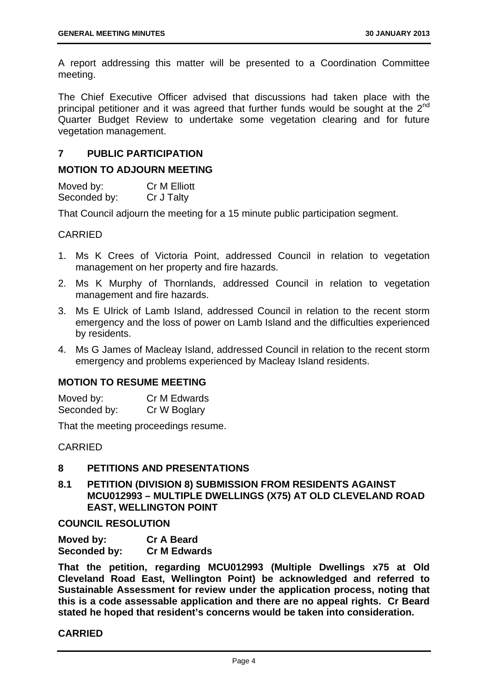A report addressing this matter will be presented to a Coordination Committee meeting.

The Chief Executive Officer advised that discussions had taken place with the principal petitioner and it was agreed that further funds would be sought at the  $2<sup>nd</sup>$ Quarter Budget Review to undertake some vegetation clearing and for future vegetation management.

# **7 PUBLIC PARTICIPATION**

# **MOTION TO ADJOURN MEETING**

Moved by: Cr M Elliott Seconded by: Cr J Talty

That Council adjourn the meeting for a 15 minute public participation segment.

# CARRIED

- 1. Ms K Crees of Victoria Point, addressed Council in relation to vegetation management on her property and fire hazards.
- 2. Ms K Murphy of Thornlands, addressed Council in relation to vegetation management and fire hazards.
- 3. Ms E Ulrick of Lamb Island, addressed Council in relation to the recent storm emergency and the loss of power on Lamb Island and the difficulties experienced by residents.
- 4. Ms G James of Macleay Island, addressed Council in relation to the recent storm emergency and problems experienced by Macleay Island residents.

# **MOTION TO RESUME MEETING**

| Moved by:    | Cr M Edwards |
|--------------|--------------|
| Seconded by: | Cr W Boglary |

That the meeting proceedings resume.

CARRIED

# **8 PETITIONS AND PRESENTATIONS**

**8.1 PETITION (DIVISION 8) SUBMISSION FROM RESIDENTS AGAINST MCU012993 – MULTIPLE DWELLINGS (X75) AT OLD CLEVELAND ROAD EAST, WELLINGTON POINT** 

**COUNCIL RESOLUTION** 

| Moved by:    | <b>Cr A Beard</b>   |
|--------------|---------------------|
| Seconded by: | <b>Cr M Edwards</b> |

**That the petition, regarding MCU012993 (Multiple Dwellings x75 at Old Cleveland Road East, Wellington Point) be acknowledged and referred to Sustainable Assessment for review under the application process, noting that this is a code assessable application and there are no appeal rights. Cr Beard stated he hoped that resident's concerns would be taken into consideration.**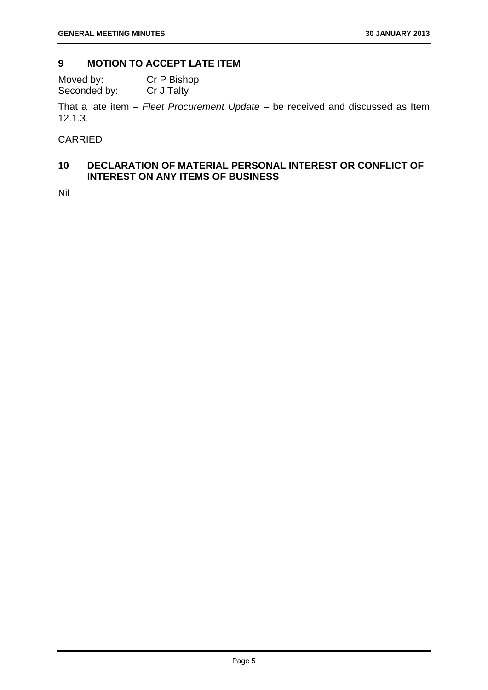# **9 MOTION TO ACCEPT LATE ITEM**

Moved by: Cr P Bishop Seconded by: Cr J Talty

That a late item – *Fleet Procurement Update* – be received and discussed as Item 12.1.3.

CARRIED

# **10 DECLARATION OF MATERIAL PERSONAL INTEREST OR CONFLICT OF INTEREST ON ANY ITEMS OF BUSINESS**

Nil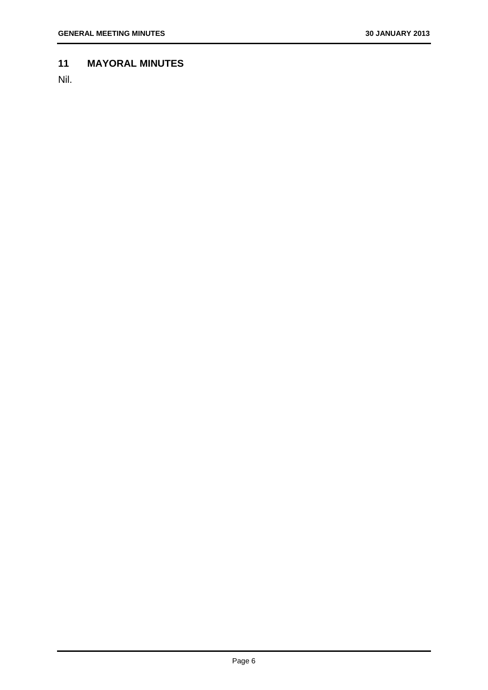# **11 MAYORAL MINUTES**

Nil.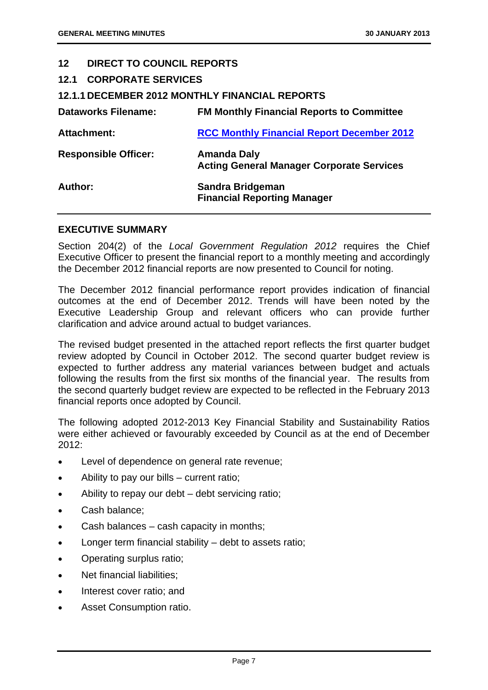| 12 <sup>1</sup>                | <b>DIRECT TO COUNCIL REPORTS</b>                                       |  |  |
|--------------------------------|------------------------------------------------------------------------|--|--|
| <b>12.1 CORPORATE SERVICES</b> |                                                                        |  |  |
|                                | <b>12.1.1 DECEMBER 2012 MONTHLY FINANCIAL REPORTS</b>                  |  |  |
| Dataworks Filename:            | <b>FM Monthly Financial Reports to Committee</b>                       |  |  |
| <b>Attachment:</b>             | <b>RCC Monthly Financial Report December 2012</b>                      |  |  |
| <b>Responsible Officer:</b>    | <b>Amanda Daly</b><br><b>Acting General Manager Corporate Services</b> |  |  |
| Author:                        | Sandra Bridgeman<br><b>Financial Reporting Manager</b>                 |  |  |

# **EXECUTIVE SUMMARY**

Section 204(2) of the *Local Government Regulation 2012* requires the Chief Executive Officer to present the financial report to a monthly meeting and accordingly the December 2012 financial reports are now presented to Council for noting.

The December 2012 financial performance report provides indication of financial outcomes at the end of December 2012. Trends will have been noted by the Executive Leadership Group and relevant officers who can provide further clarification and advice around actual to budget variances.

The revised budget presented in the attached report reflects the first quarter budget review adopted by Council in October 2012. The second quarter budget review is expected to further address any material variances between budget and actuals following the results from the first six months of the financial year. The results from the second quarterly budget review are expected to be reflected in the February 2013 financial reports once adopted by Council.

The following adopted 2012-2013 Key Financial Stability and Sustainability Ratios were either achieved or favourably exceeded by Council as at the end of December 2012:

- **Level of dependence on general rate revenue;**
- Ability to pay our bills current ratio;
- Ability to repay our debt debt servicing ratio;
- Cash balance:
- Cash balances cash capacity in months;
- Longer term financial stability debt to assets ratio;
- Operating surplus ratio;
- Net financial liabilities;
- Interest cover ratio; and
- Asset Consumption ratio.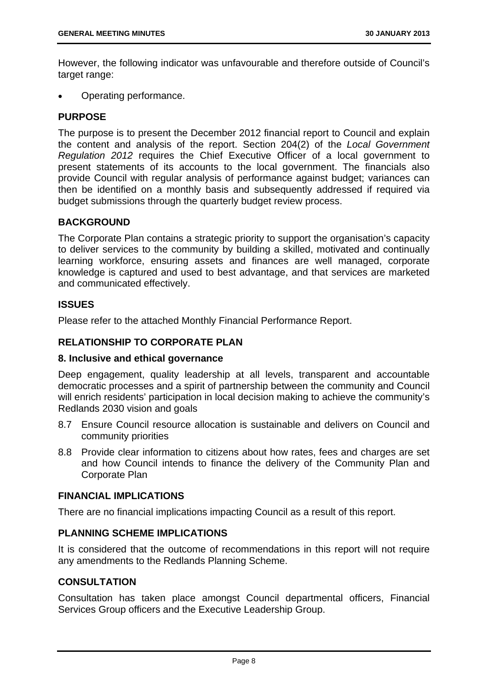However, the following indicator was unfavourable and therefore outside of Council's target range:

Operating performance.

# **PURPOSE**

The purpose is to present the December 2012 financial report to Council and explain the content and analysis of the report. Section 204(2) of the *Local Government Regulation 2012* requires the Chief Executive Officer of a local government to present statements of its accounts to the local government. The financials also provide Council with regular analysis of performance against budget; variances can then be identified on a monthly basis and subsequently addressed if required via budget submissions through the quarterly budget review process.

# **BACKGROUND**

The Corporate Plan contains a strategic priority to support the organisation's capacity to deliver services to the community by building a skilled, motivated and continually learning workforce, ensuring assets and finances are well managed, corporate knowledge is captured and used to best advantage, and that services are marketed and communicated effectively.

# **ISSUES**

Please refer to the attached Monthly Financial Performance Report.

# **RELATIONSHIP TO CORPORATE PLAN**

# **8. Inclusive and ethical governance**

Deep engagement, quality leadership at all levels, transparent and accountable democratic processes and a spirit of partnership between the community and Council will enrich residents' participation in local decision making to achieve the community's Redlands 2030 vision and goals

- 8.7 Ensure Council resource allocation is sustainable and delivers on Council and community priorities
- 8.8 Provide clear information to citizens about how rates, fees and charges are set and how Council intends to finance the delivery of the Community Plan and Corporate Plan

# **FINANCIAL IMPLICATIONS**

There are no financial implications impacting Council as a result of this report.

# **PLANNING SCHEME IMPLICATIONS**

It is considered that the outcome of recommendations in this report will not require any amendments to the Redlands Planning Scheme.

# **CONSULTATION**

Consultation has taken place amongst Council departmental officers, Financial Services Group officers and the Executive Leadership Group.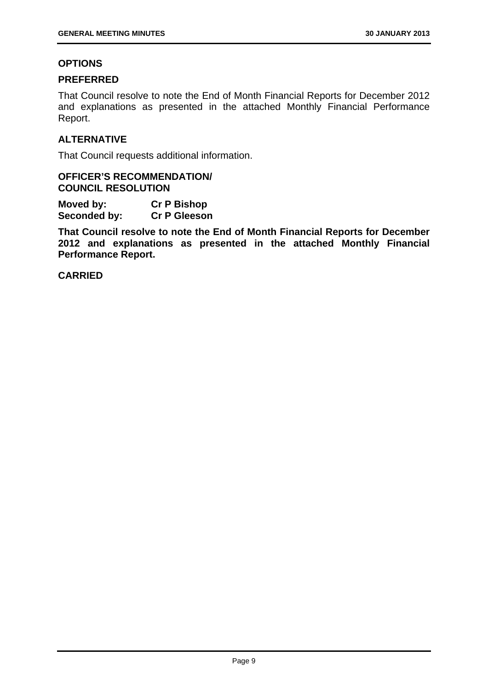# **OPTIONS**

# **PREFERRED**

That Council resolve to note the End of Month Financial Reports for December 2012 and explanations as presented in the attached Monthly Financial Performance Report.

# **ALTERNATIVE**

That Council requests additional information.

# **OFFICER'S RECOMMENDATION/ COUNCIL RESOLUTION**

**Moved by: Cr P Bishop Seconded by: Cr P Gleeson** 

**That Council resolve to note the End of Month Financial Reports for December 2012 and explanations as presented in the attached Monthly Financial Performance Report.**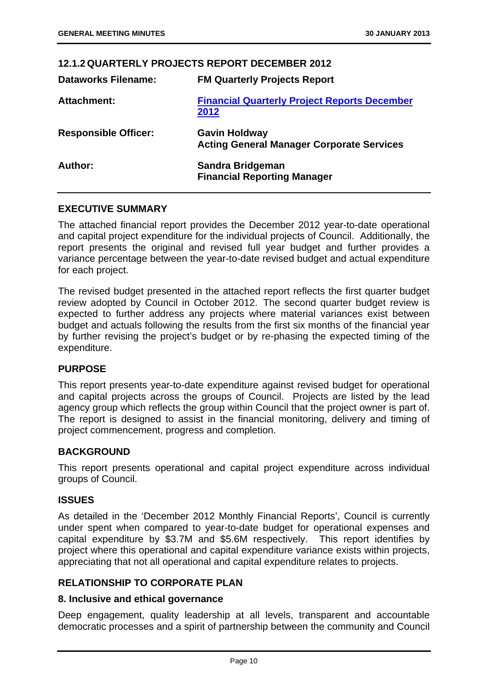|                             | <b>12.1.2 QUARTERLY PROJECTS REPORT DECEMBER 2012</b>                    |
|-----------------------------|--------------------------------------------------------------------------|
| <b>Dataworks Filename:</b>  | <b>FM Quarterly Projects Report</b>                                      |
| Attachment:                 | <b>Financial Quarterly Project Reports December</b><br>2012              |
| <b>Responsible Officer:</b> | <b>Gavin Holdway</b><br><b>Acting General Manager Corporate Services</b> |
| Author:                     | <b>Sandra Bridgeman</b><br><b>Financial Reporting Manager</b>            |

# **EXECUTIVE SUMMARY**

The attached financial report provides the December 2012 year-to-date operational and capital project expenditure for the individual projects of Council. Additionally, the report presents the original and revised full year budget and further provides a variance percentage between the year-to-date revised budget and actual expenditure for each project.

The revised budget presented in the attached report reflects the first quarter budget review adopted by Council in October 2012. The second quarter budget review is expected to further address any projects where material variances exist between budget and actuals following the results from the first six months of the financial year by further revising the project's budget or by re-phasing the expected timing of the expenditure.

# **PURPOSE**

This report presents year-to-date expenditure against revised budget for operational and capital projects across the groups of Council. Projects are listed by the lead agency group which reflects the group within Council that the project owner is part of. The report is designed to assist in the financial monitoring, delivery and timing of project commencement, progress and completion.

#### **BACKGROUND**

This report presents operational and capital project expenditure across individual groups of Council.

#### **ISSUES**

As detailed in the 'December 2012 Monthly Financial Reports', Council is currently under spent when compared to year-to-date budget for operational expenses and capital expenditure by \$3.7M and \$5.6M respectively. This report identifies by project where this operational and capital expenditure variance exists within projects, appreciating that not all operational and capital expenditure relates to projects.

# **RELATIONSHIP TO CORPORATE PLAN**

#### **8. Inclusive and ethical governance**

Deep engagement, quality leadership at all levels, transparent and accountable democratic processes and a spirit of partnership between the community and Council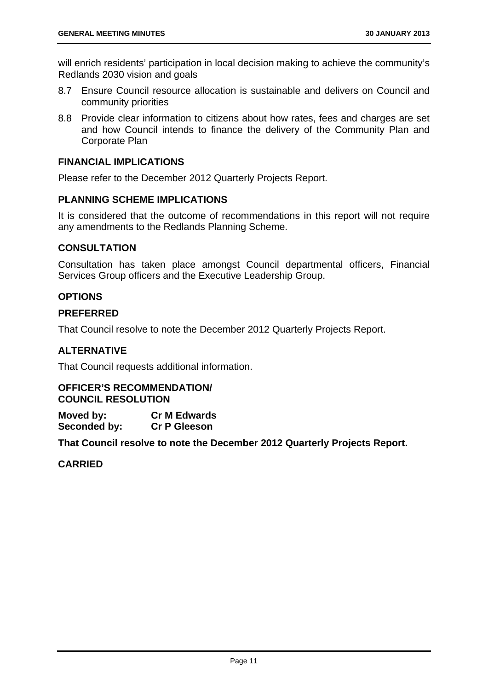will enrich residents' participation in local decision making to achieve the community's Redlands 2030 vision and goals

- 8.7 Ensure Council resource allocation is sustainable and delivers on Council and community priorities
- 8.8 Provide clear information to citizens about how rates, fees and charges are set and how Council intends to finance the delivery of the Community Plan and Corporate Plan

# **FINANCIAL IMPLICATIONS**

Please refer to the December 2012 Quarterly Projects Report.

# **PLANNING SCHEME IMPLICATIONS**

It is considered that the outcome of recommendations in this report will not require any amendments to the Redlands Planning Scheme.

# **CONSULTATION**

Consultation has taken place amongst Council departmental officers, Financial Services Group officers and the Executive Leadership Group.

# **OPTIONS**

# **PREFERRED**

That Council resolve to note the December 2012 Quarterly Projects Report.

# **ALTERNATIVE**

That Council requests additional information.

# **OFFICER'S RECOMMENDATION/ COUNCIL RESOLUTION**

**Moved by: Cr M Edwards Seconded by: Cr P Gleeson** 

**That Council resolve to note the December 2012 Quarterly Projects Report.**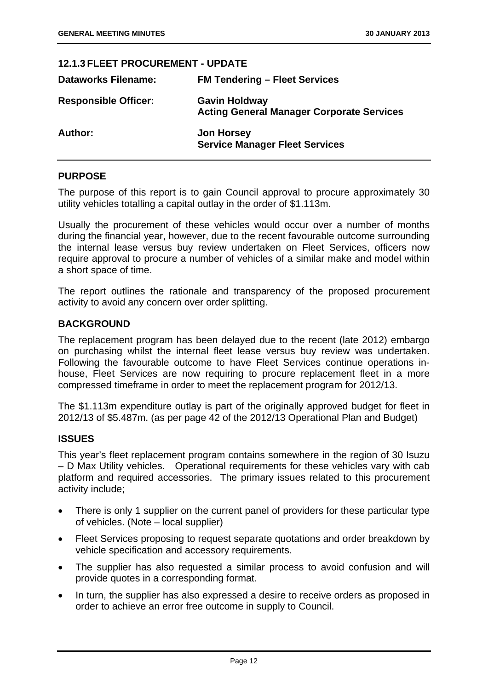#### **12.1.3 FLEET PROCUREMENT - UPDATE**

| <b>Dataworks Filename:</b>  | <b>FM Tendering - Fleet Services</b>                                     |
|-----------------------------|--------------------------------------------------------------------------|
| <b>Responsible Officer:</b> | <b>Gavin Holdway</b><br><b>Acting General Manager Corporate Services</b> |
| <b>Author:</b>              | <b>Jon Horsey</b><br><b>Service Manager Fleet Services</b>               |

# **PURPOSE**

The purpose of this report is to gain Council approval to procure approximately 30 utility vehicles totalling a capital outlay in the order of \$1.113m.

Usually the procurement of these vehicles would occur over a number of months during the financial year, however, due to the recent favourable outcome surrounding the internal lease versus buy review undertaken on Fleet Services, officers now require approval to procure a number of vehicles of a similar make and model within a short space of time.

The report outlines the rationale and transparency of the proposed procurement activity to avoid any concern over order splitting.

#### **BACKGROUND**

The replacement program has been delayed due to the recent (late 2012) embargo on purchasing whilst the internal fleet lease versus buy review was undertaken. Following the favourable outcome to have Fleet Services continue operations inhouse, Fleet Services are now requiring to procure replacement fleet in a more compressed timeframe in order to meet the replacement program for 2012/13.

The \$1.113m expenditure outlay is part of the originally approved budget for fleet in 2012/13 of \$5.487m. (as per page 42 of the 2012/13 Operational Plan and Budget)

# **ISSUES**

This year's fleet replacement program contains somewhere in the region of 30 Isuzu – D Max Utility vehicles. Operational requirements for these vehicles vary with cab platform and required accessories. The primary issues related to this procurement activity include;

- There is only 1 supplier on the current panel of providers for these particular type of vehicles. (Note – local supplier)
- Fleet Services proposing to request separate quotations and order breakdown by vehicle specification and accessory requirements.
- The supplier has also requested a similar process to avoid confusion and will provide quotes in a corresponding format.
- In turn, the supplier has also expressed a desire to receive orders as proposed in order to achieve an error free outcome in supply to Council.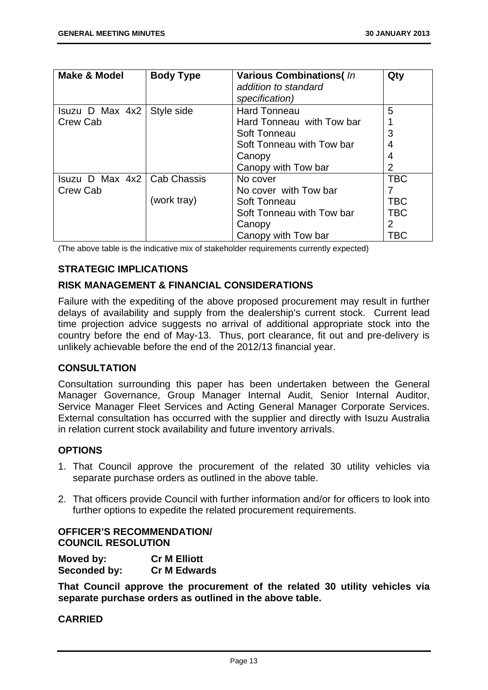| <b>Make &amp; Model</b> | <b>Body Type</b> | <b>Various Combinations(In</b><br>addition to standard<br>specification) | Qty            |
|-------------------------|------------------|--------------------------------------------------------------------------|----------------|
| Isuzu D Max 4x2         | Style side       | <b>Hard Tonneau</b>                                                      | 5              |
| Crew Cab                |                  | Hard Tonneau with Tow bar                                                |                |
|                         |                  | Soft Tonneau                                                             | 3              |
|                         |                  | Soft Tonneau with Tow bar                                                | $\overline{4}$ |
|                         |                  | Canopy                                                                   | $\overline{4}$ |
|                         |                  | Canopy with Tow bar                                                      | $\overline{2}$ |
| Isuzu D Max $4x2$       | l Cab Chassis    | No cover                                                                 | <b>TBC</b>     |
| Crew Cab                |                  | No cover with Tow bar                                                    |                |
|                         | (work tray)      | Soft Tonneau                                                             | <b>TBC</b>     |
|                         |                  | Soft Tonneau with Tow bar                                                | <b>TBC</b>     |
|                         |                  | Canopy                                                                   | $\overline{2}$ |
|                         |                  | Canopy with Tow bar                                                      | TBC            |

(The above table is the indicative mix of stakeholder requirements currently expected)

# **STRATEGIC IMPLICATIONS**

# **RISK MANAGEMENT & FINANCIAL CONSIDERATIONS**

Failure with the expediting of the above proposed procurement may result in further delays of availability and supply from the dealership's current stock. Current lead time projection advice suggests no arrival of additional appropriate stock into the country before the end of May-13. Thus, port clearance, fit out and pre-delivery is unlikely achievable before the end of the 2012/13 financial year.

# **CONSULTATION**

Consultation surrounding this paper has been undertaken between the General Manager Governance, Group Manager Internal Audit, Senior Internal Auditor, Service Manager Fleet Services and Acting General Manager Corporate Services. External consultation has occurred with the supplier and directly with Isuzu Australia in relation current stock availability and future inventory arrivals.

# **OPTIONS**

- 1. That Council approve the procurement of the related 30 utility vehicles via separate purchase orders as outlined in the above table.
- 2. That officers provide Council with further information and/or for officers to look into further options to expedite the related procurement requirements.

# **OFFICER'S RECOMMENDATION/ COUNCIL RESOLUTION**

**Moved by: Cr M Elliott Seconded by: Cr M Edwards** 

**That Council approve the procurement of the related 30 utility vehicles via separate purchase orders as outlined in the above table.**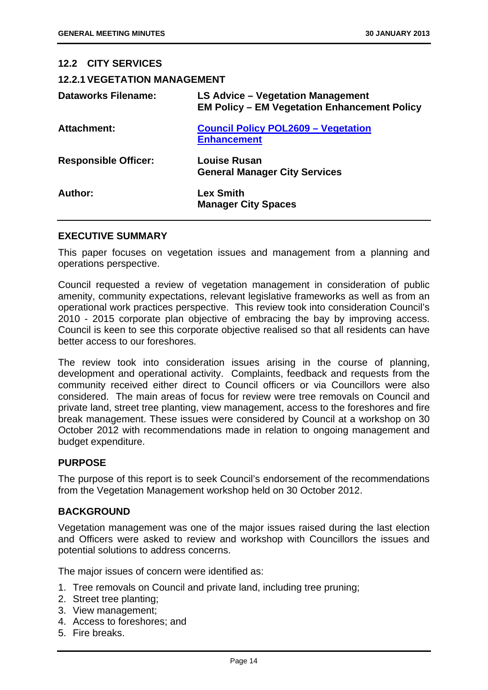**12.2 CITY SERVICES** 

| <b>12.2.1 VEGETATION MANAGEMENT</b>                                                      |
|------------------------------------------------------------------------------------------|
| LS Advice – Vegetation Management<br><b>EM Policy - EM Vegetation Enhancement Policy</b> |
| <b>Council Policy POL2609 - Vegetation</b><br><b>Enhancement</b>                         |
| Louise Rusan<br><b>General Manager City Services</b>                                     |
| <b>Lex Smith</b><br><b>Manager City Spaces</b>                                           |
|                                                                                          |

#### **EXECUTIVE SUMMARY**

This paper focuses on vegetation issues and management from a planning and operations perspective.

Council requested a review of vegetation management in consideration of public amenity, community expectations, relevant legislative frameworks as well as from an operational work practices perspective. This review took into consideration Council's 2010 - 2015 corporate plan objective of embracing the bay by improving access. Council is keen to see this corporate objective realised so that all residents can have better access to our foreshores.

The review took into consideration issues arising in the course of planning, development and operational activity. Complaints, feedback and requests from the community received either direct to Council officers or via Councillors were also considered. The main areas of focus for review were tree removals on Council and private land, street tree planting, view management, access to the foreshores and fire break management. These issues were considered by Council at a workshop on 30 October 2012 with recommendations made in relation to ongoing management and budget expenditure.

#### **PURPOSE**

The purpose of this report is to seek Council's endorsement of the recommendations from the Vegetation Management workshop held on 30 October 2012.

#### **BACKGROUND**

Vegetation management was one of the major issues raised during the last election and Officers were asked to review and workshop with Councillors the issues and potential solutions to address concerns.

The major issues of concern were identified as:

- 1. Tree removals on Council and private land, including tree pruning;
- 2. Street tree planting;
- 3. View management;
- 4. Access to foreshores; and
- 5. Fire breaks.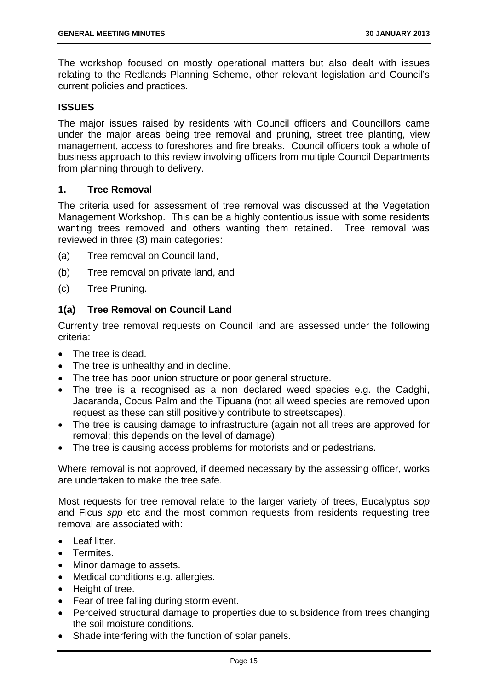The workshop focused on mostly operational matters but also dealt with issues relating to the Redlands Planning Scheme, other relevant legislation and Council's current policies and practices.

# **ISSUES**

The major issues raised by residents with Council officers and Councillors came under the major areas being tree removal and pruning, street tree planting, view management, access to foreshores and fire breaks. Council officers took a whole of business approach to this review involving officers from multiple Council Departments from planning through to delivery.

# **1. Tree Removal**

The criteria used for assessment of tree removal was discussed at the Vegetation Management Workshop. This can be a highly contentious issue with some residents wanting trees removed and others wanting them retained. Tree removal was reviewed in three (3) main categories:

- (a) Tree removal on Council land,
- (b) Tree removal on private land, and
- (c) Tree Pruning.

# **1(a) Tree Removal on Council Land**

Currently tree removal requests on Council land are assessed under the following criteria:

- The tree is dead.
- The tree is unhealthy and in decline.
- The tree has poor union structure or poor general structure.
- The tree is a recognised as a non declared weed species e.g. the Cadghi, Jacaranda, Cocus Palm and the Tipuana (not all weed species are removed upon request as these can still positively contribute to streetscapes).
- The tree is causing damage to infrastructure (again not all trees are approved for removal; this depends on the level of damage).
- The tree is causing access problems for motorists and or pedestrians.

Where removal is not approved, if deemed necessary by the assessing officer, works are undertaken to make the tree safe.

Most requests for tree removal relate to the larger variety of trees, Eucalyptus *spp* and Ficus *spp* etc and the most common requests from residents requesting tree removal are associated with:

- Leaf litter.
- **Termites**
- Minor damage to assets.
- Medical conditions e.g. allergies.
- Height of tree.
- Fear of tree falling during storm event.
- Perceived structural damage to properties due to subsidence from trees changing the soil moisture conditions.
- Shade interfering with the function of solar panels.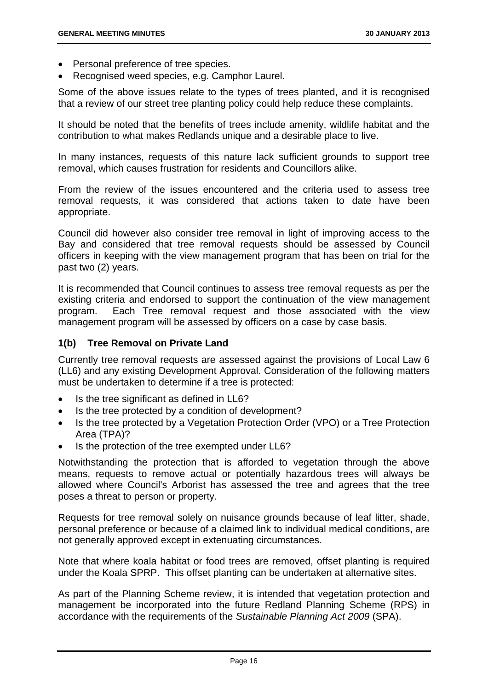- Personal preference of tree species.
- Recognised weed species, e.g. Camphor Laurel.

Some of the above issues relate to the types of trees planted, and it is recognised that a review of our street tree planting policy could help reduce these complaints.

It should be noted that the benefits of trees include amenity, wildlife habitat and the contribution to what makes Redlands unique and a desirable place to live.

In many instances, requests of this nature lack sufficient grounds to support tree removal, which causes frustration for residents and Councillors alike.

From the review of the issues encountered and the criteria used to assess tree removal requests, it was considered that actions taken to date have been appropriate.

Council did however also consider tree removal in light of improving access to the Bay and considered that tree removal requests should be assessed by Council officers in keeping with the view management program that has been on trial for the past two (2) years.

It is recommended that Council continues to assess tree removal requests as per the existing criteria and endorsed to support the continuation of the view management program. Each Tree removal request and those associated with the view management program will be assessed by officers on a case by case basis.

# **1(b) Tree Removal on Private Land**

Currently tree removal requests are assessed against the provisions of Local Law 6 (LL6) and any existing Development Approval. Consideration of the following matters must be undertaken to determine if a tree is protected:

- Is the tree significant as defined in LL6?
- Is the tree protected by a condition of development?
- Is the tree protected by a Vegetation Protection Order (VPO) or a Tree Protection Area (TPA)?
- Is the protection of the tree exempted under LL6?

Notwithstanding the protection that is afforded to vegetation through the above means, requests to remove actual or potentially hazardous trees will always be allowed where Council's Arborist has assessed the tree and agrees that the tree poses a threat to person or property.

Requests for tree removal solely on nuisance grounds because of leaf litter, shade, personal preference or because of a claimed link to individual medical conditions, are not generally approved except in extenuating circumstances.

Note that where koala habitat or food trees are removed, offset planting is required under the Koala SPRP. This offset planting can be undertaken at alternative sites.

As part of the Planning Scheme review, it is intended that vegetation protection and management be incorporated into the future Redland Planning Scheme (RPS) in accordance with the requirements of the *Sustainable Planning Act 2009* (SPA).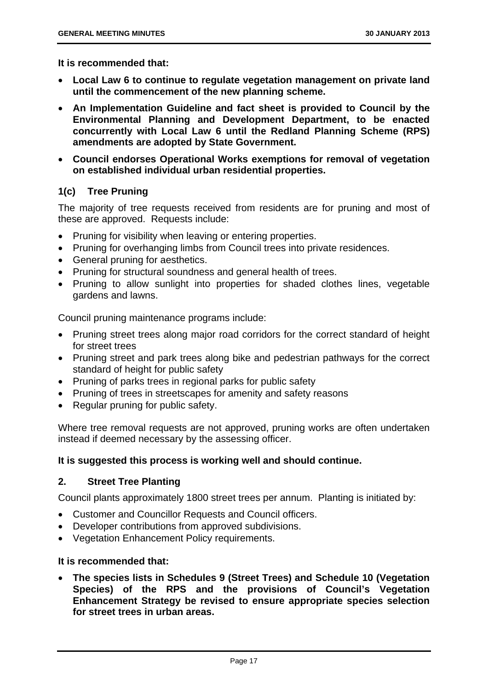**It is recommended that:** 

- **Local Law 6 to continue to regulate vegetation management on private land until the commencement of the new planning scheme.**
- **An Implementation Guideline and fact sheet is provided to Council by the Environmental Planning and Development Department, to be enacted concurrently with Local Law 6 until the Redland Planning Scheme (RPS) amendments are adopted by State Government.**
- **Council endorses Operational Works exemptions for removal of vegetation on established individual urban residential properties.**

# **1(c) Tree Pruning**

The majority of tree requests received from residents are for pruning and most of these are approved. Requests include:

- Pruning for visibility when leaving or entering properties.
- Pruning for overhanging limbs from Council trees into private residences.
- General pruning for aesthetics.
- Pruning for structural soundness and general health of trees.
- Pruning to allow sunlight into properties for shaded clothes lines, vegetable gardens and lawns.

Council pruning maintenance programs include:

- Pruning street trees along major road corridors for the correct standard of height for street trees
- Pruning street and park trees along bike and pedestrian pathways for the correct standard of height for public safety
- Pruning of parks trees in regional parks for public safety
- Pruning of trees in streetscapes for amenity and safety reasons
- Regular pruning for public safety.

Where tree removal requests are not approved, pruning works are often undertaken instead if deemed necessary by the assessing officer.

#### **It is suggested this process is working well and should continue.**

# **2. Street Tree Planting**

Council plants approximately 1800 street trees per annum. Planting is initiated by:

- Customer and Councillor Requests and Council officers.
- Developer contributions from approved subdivisions.
- Vegetation Enhancement Policy requirements.

#### **It is recommended that:**

 **The species lists in Schedules 9 (Street Trees) and Schedule 10 (Vegetation Species) of the RPS and the provisions of Council's Vegetation Enhancement Strategy be revised to ensure appropriate species selection for street trees in urban areas.**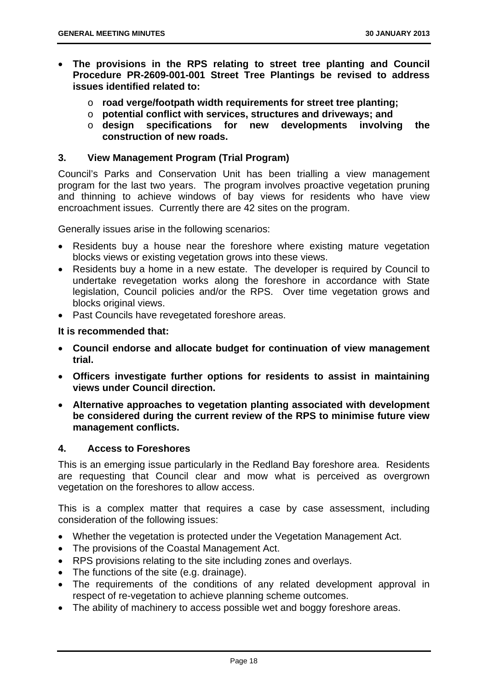- **The provisions in the RPS relating to street tree planting and Council Procedure PR-2609-001-001 Street Tree Plantings be revised to address issues identified related to:** 
	- o **road verge/footpath width requirements for street tree planting;**
	- o **potential conflict with services, structures and driveways; and**
	- o **design specifications for new developments involving the construction of new roads.**

#### **3. View Management Program (Trial Program)**

Council's Parks and Conservation Unit has been trialling a view management program for the last two years. The program involves proactive vegetation pruning and thinning to achieve windows of bay views for residents who have view encroachment issues. Currently there are 42 sites on the program.

Generally issues arise in the following scenarios:

- Residents buy a house near the foreshore where existing mature vegetation blocks views or existing vegetation grows into these views.
- Residents buy a home in a new estate. The developer is required by Council to undertake revegetation works along the foreshore in accordance with State legislation, Council policies and/or the RPS. Over time vegetation grows and blocks original views.
- Past Councils have revegetated foreshore areas.

**It is recommended that:** 

- **Council endorse and allocate budget for continuation of view management trial.**
- **Officers investigate further options for residents to assist in maintaining views under Council direction.**
- **Alternative approaches to vegetation planting associated with development be considered during the current review of the RPS to minimise future view management conflicts.**

#### **4. Access to Foreshores**

This is an emerging issue particularly in the Redland Bay foreshore area. Residents are requesting that Council clear and mow what is perceived as overgrown vegetation on the foreshores to allow access.

This is a complex matter that requires a case by case assessment, including consideration of the following issues:

- Whether the vegetation is protected under the Vegetation Management Act.
- The provisions of the Coastal Management Act.
- RPS provisions relating to the site including zones and overlays.
- The functions of the site (e.g. drainage).
- The requirements of the conditions of any related development approval in respect of re-vegetation to achieve planning scheme outcomes.
- The ability of machinery to access possible wet and boggy foreshore areas.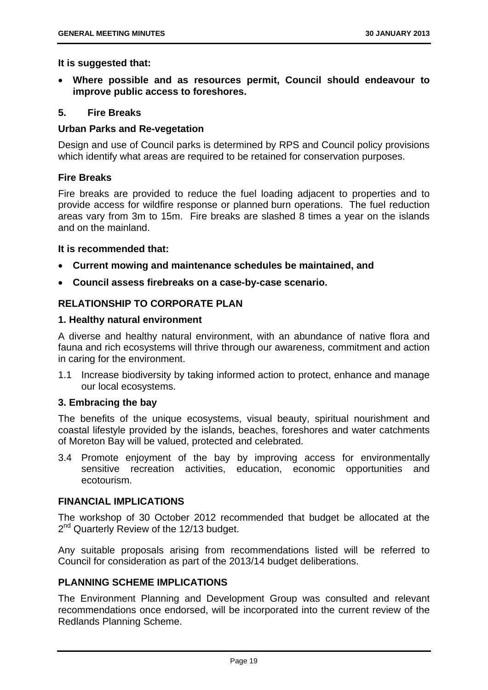**It is suggested that:** 

 **Where possible and as resources permit, Council should endeavour to improve public access to foreshores.** 

#### **5. Fire Breaks**

#### **Urban Parks and Re-vegetation**

Design and use of Council parks is determined by RPS and Council policy provisions which identify what areas are required to be retained for conservation purposes.

# **Fire Breaks**

Fire breaks are provided to reduce the fuel loading adjacent to properties and to provide access for wildfire response or planned burn operations. The fuel reduction areas vary from 3m to 15m. Fire breaks are slashed 8 times a year on the islands and on the mainland.

#### **It is recommended that:**

- **Current mowing and maintenance schedules be maintained, and**
- **Council assess firebreaks on a case-by-case scenario.**

# **RELATIONSHIP TO CORPORATE PLAN**

# **1. Healthy natural environment**

A diverse and healthy natural environment, with an abundance of native flora and fauna and rich ecosystems will thrive through our awareness, commitment and action in caring for the environment.

1.1 Increase biodiversity by taking informed action to protect, enhance and manage our local ecosystems.

# **3. Embracing the bay**

The benefits of the unique ecosystems, visual beauty, spiritual nourishment and coastal lifestyle provided by the islands, beaches, foreshores and water catchments of Moreton Bay will be valued, protected and celebrated.

3.4 Promote enjoyment of the bay by improving access for environmentally sensitive recreation activities, education, economic opportunities and ecotourism.

#### **FINANCIAL IMPLICATIONS**

The workshop of 30 October 2012 recommended that budget be allocated at the 2<sup>nd</sup> Quarterly Review of the 12/13 budget.

Any suitable proposals arising from recommendations listed will be referred to Council for consideration as part of the 2013/14 budget deliberations.

# **PLANNING SCHEME IMPLICATIONS**

The Environment Planning and Development Group was consulted and relevant recommendations once endorsed, will be incorporated into the current review of the Redlands Planning Scheme.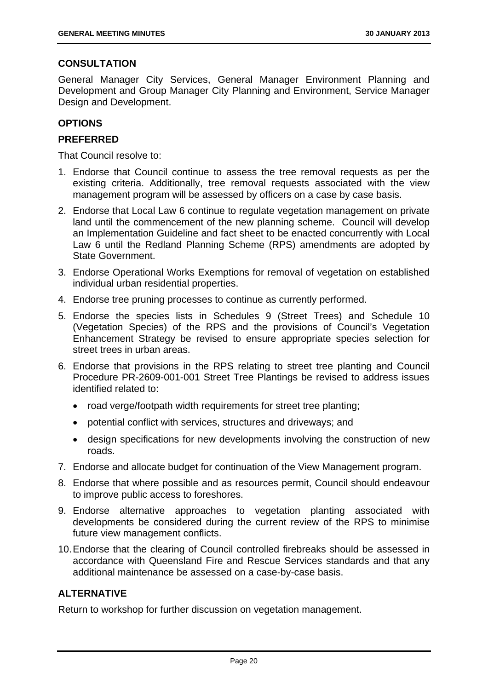# **CONSULTATION**

General Manager City Services, General Manager Environment Planning and Development and Group Manager City Planning and Environment, Service Manager Design and Development.

# **OPTIONS**

# **PREFERRED**

That Council resolve to:

- 1. Endorse that Council continue to assess the tree removal requests as per the existing criteria. Additionally, tree removal requests associated with the view management program will be assessed by officers on a case by case basis.
- 2. Endorse that Local Law 6 continue to regulate vegetation management on private land until the commencement of the new planning scheme. Council will develop an Implementation Guideline and fact sheet to be enacted concurrently with Local Law 6 until the Redland Planning Scheme (RPS) amendments are adopted by State Government.
- 3. Endorse Operational Works Exemptions for removal of vegetation on established individual urban residential properties.
- 4. Endorse tree pruning processes to continue as currently performed.
- 5. Endorse the species lists in Schedules 9 (Street Trees) and Schedule 10 (Vegetation Species) of the RPS and the provisions of Council's Vegetation Enhancement Strategy be revised to ensure appropriate species selection for street trees in urban areas.
- 6. Endorse that provisions in the RPS relating to street tree planting and Council Procedure PR-2609-001-001 Street Tree Plantings be revised to address issues identified related to:
	- road verge/footpath width requirements for street tree planting;
	- potential conflict with services, structures and driveways; and
	- design specifications for new developments involving the construction of new roads.
- 7. Endorse and allocate budget for continuation of the View Management program.
- 8. Endorse that where possible and as resources permit, Council should endeavour to improve public access to foreshores.
- 9. Endorse alternative approaches to vegetation planting associated with developments be considered during the current review of the RPS to minimise future view management conflicts.
- 10. Endorse that the clearing of Council controlled firebreaks should be assessed in accordance with Queensland Fire and Rescue Services standards and that any additional maintenance be assessed on a case-by-case basis.

# **ALTERNATIVE**

Return to workshop for further discussion on vegetation management.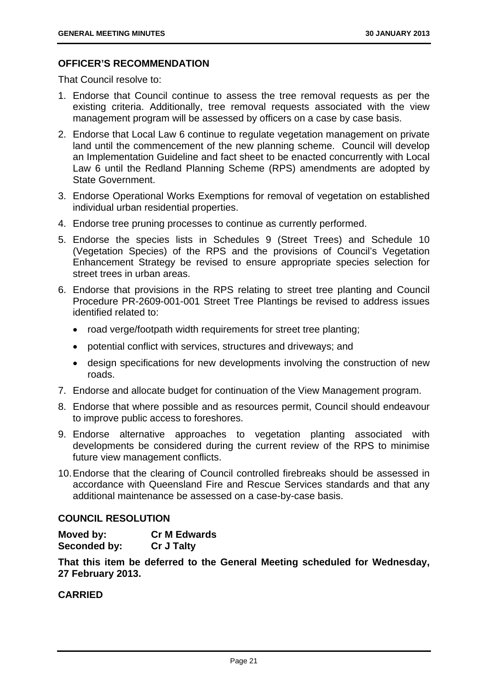# **OFFICER'S RECOMMENDATION**

That Council resolve to:

- 1. Endorse that Council continue to assess the tree removal requests as per the existing criteria. Additionally, tree removal requests associated with the view management program will be assessed by officers on a case by case basis.
- 2. Endorse that Local Law 6 continue to regulate vegetation management on private land until the commencement of the new planning scheme. Council will develop an Implementation Guideline and fact sheet to be enacted concurrently with Local Law 6 until the Redland Planning Scheme (RPS) amendments are adopted by State Government.
- 3. Endorse Operational Works Exemptions for removal of vegetation on established individual urban residential properties.
- 4. Endorse tree pruning processes to continue as currently performed.
- 5. Endorse the species lists in Schedules 9 (Street Trees) and Schedule 10 (Vegetation Species) of the RPS and the provisions of Council's Vegetation Enhancement Strategy be revised to ensure appropriate species selection for street trees in urban areas.
- 6. Endorse that provisions in the RPS relating to street tree planting and Council Procedure PR-2609-001-001 Street Tree Plantings be revised to address issues identified related to:
	- road verge/footpath width requirements for street tree planting;
	- potential conflict with services, structures and driveways; and
	- design specifications for new developments involving the construction of new roads.
- 7. Endorse and allocate budget for continuation of the View Management program.
- 8. Endorse that where possible and as resources permit, Council should endeavour to improve public access to foreshores.
- 9. Endorse alternative approaches to vegetation planting associated with developments be considered during the current review of the RPS to minimise future view management conflicts.
- 10. Endorse that the clearing of Council controlled firebreaks should be assessed in accordance with Queensland Fire and Rescue Services standards and that any additional maintenance be assessed on a case-by-case basis.

# **COUNCIL RESOLUTION**

| Moved by:    | <b>Cr M Edwards</b> |
|--------------|---------------------|
| Seconded by: | <b>Cr J Talty</b>   |

**That this item be deferred to the General Meeting scheduled for Wednesday, 27 February 2013.**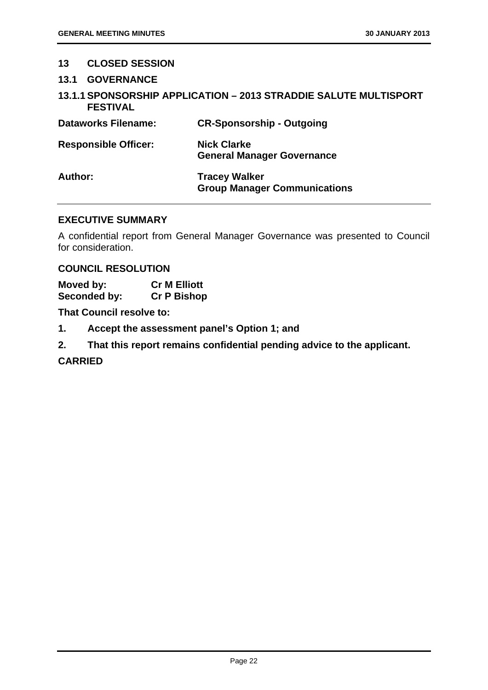# **13 CLOSED SESSION**

- **13.1 GOVERNANCE**
- **13.1.1 SPONSORSHIP APPLICATION 2013 STRADDIE SALUTE MULTISPORT FESTIVAL**

| <b>Dataworks Filename:</b>  | <b>CR-Sponsorship - Outgoing</b>                            |
|-----------------------------|-------------------------------------------------------------|
| <b>Responsible Officer:</b> | <b>Nick Clarke</b><br><b>General Manager Governance</b>     |
| Author:                     | <b>Tracey Walker</b><br><b>Group Manager Communications</b> |

# **EXECUTIVE SUMMARY**

A confidential report from General Manager Governance was presented to Council for consideration.

# **COUNCIL RESOLUTION**

**Moved by: Cr M Elliott Seconded by: Cr P Bishop** 

**That Council resolve to:** 

- **1. Accept the assessment panel's Option 1; and**
- **2. That this report remains confidential pending advice to the applicant.**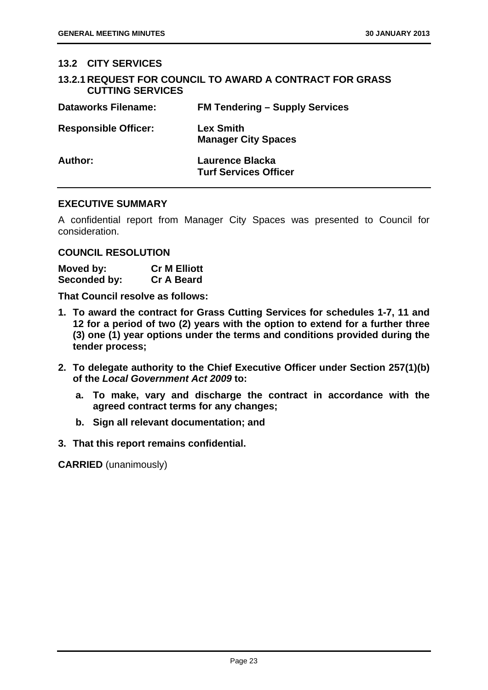# **13.2 CITY SERVICES**

|                         | <b>13.2.1 REQUEST FOR COUNCIL TO AWARD A CONTRACT FOR GRASS</b> |
|-------------------------|-----------------------------------------------------------------|
| <b>CUTTING SERVICES</b> |                                                                 |

| <b>Dataworks Filename:</b>  | <b>FM Tendering - Supply Services</b>           |
|-----------------------------|-------------------------------------------------|
| <b>Responsible Officer:</b> | <b>Lex Smith</b><br><b>Manager City Spaces</b>  |
| Author:                     | Laurence Blacka<br><b>Turf Services Officer</b> |

# **EXECUTIVE SUMMARY**

A confidential report from Manager City Spaces was presented to Council for consideration.

# **COUNCIL RESOLUTION**

| Moved by:    | <b>Cr M Elliott</b> |
|--------------|---------------------|
| Seconded by: | <b>Cr A Beard</b>   |

**That Council resolve as follows:** 

- **1. To award the contract for Grass Cutting Services for schedules 1-7, 11 and 12 for a period of two (2) years with the option to extend for a further three (3) one (1) year options under the terms and conditions provided during the tender process;**
- **2. To delegate authority to the Chief Executive Officer under Section 257(1)(b) of the** *Local Government Act 2009* **to:** 
	- **a. To make, vary and discharge the contract in accordance with the agreed contract terms for any changes;**
	- **b. Sign all relevant documentation; and**
- **3. That this report remains confidential.**

**CARRIED** (unanimously)